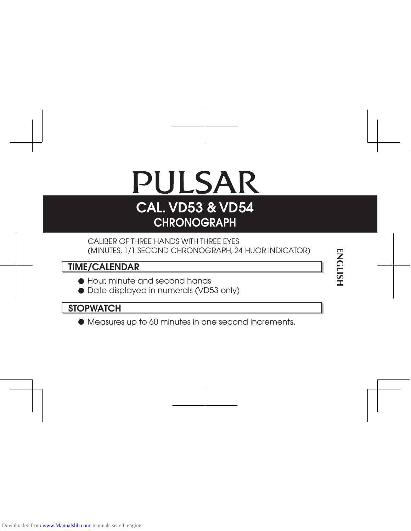# PULSAR CAL. VD53 & VD54 **CHRONOGRAPH**

# CALIBER OF THREE HANDS WITH THREE EYES (MINUTES, 1/1 SECOND CHRONOGRAPH, 24-HUOR INDICATOR)

# TIME/CALENDAR

- l Hour, minute and second hands
- $\bullet$  Date displayed in numerals (VD53 only)

# **STOPWATCH**

 $\bullet$  Measures up to 60 minutes in one second increments.

# **ENGLISH ENGLISH**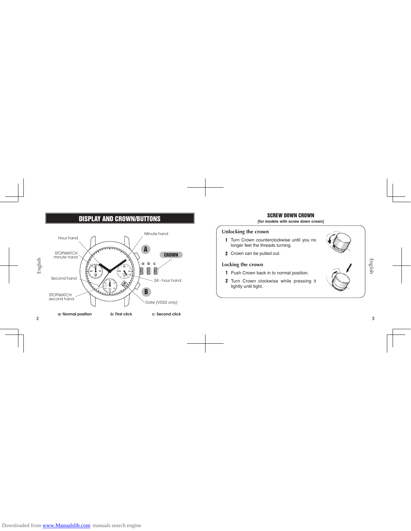# DISPLAY AND CROWN/BUTTONS



# SCREW DOWN CROWN **[for models with screw down crown]**

# **Unlocking the crown**

- 1 Turn Crown counterclockwise until you no<br>longer feel the threads turning.
- 2 Crown can be pulled out.

# **Locking the crown**

1 Push Crown back in to normal position. 2 Turn Crown clockwise while pressing it lightly until tight.



 $\mathbf{3}$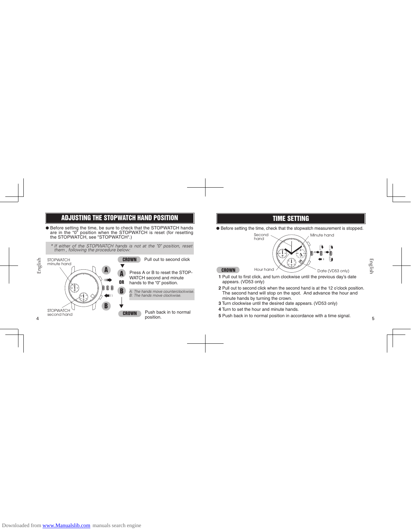# ADJUSTING THE STOPWATCH HAND POSITION

l Before setting the time, be sure to check that the STOPWATCH hands are in the "0" position when the STOPWATCH is reset (for resetting the STOPWATCH, see "STOPWATCH".)

*\* If either of the STOPWATCH hands is not at the "0" position, reset them , following the procedure below:*



Press A or B to reset the STOP-

WATCH second and minute hands to the "0" position.

*A: The hands move counterclockwise. B: The hands move clockwise.*



# TIME SETTING

 $\bullet$  Before setting the time, check that the stopwatch measurement is stopped.

Second<br>hand Minute hand ര **60 24** ⇒n ⇒n **45 15 18 6** HOUR. **30 COLLEGE 5** Hour hand  $\triangle$  Date (VD53 only)

 $\Omega$ 

₩

- CROWN **1** Pull out to first click, and turn clockwise until the previous day's date appears. (VD53 only)
- **2** Pull out to second click when the second hand is at the 12 o'clock position.<br>The second hand will stop on the spot. And advance the hour and<br>minute hands by turning the crown.<br>**3** Turn clockwise until the desired date The second hand will stop on the spot. And advance the hour and minute hands by turning the crown.<br>Turn clockwise until the desired date appears. (VD53 only)<br>Turn to set the hour and minute hands.<br>Turn to set the hour and minute hands by turning the crown.
- **3** Turn clockwise until the desired date appears. (VD53 only)
- **4** Turn to set the hour and minute hands.
- **5** Push back in to normal position in accordance with a time signal.

5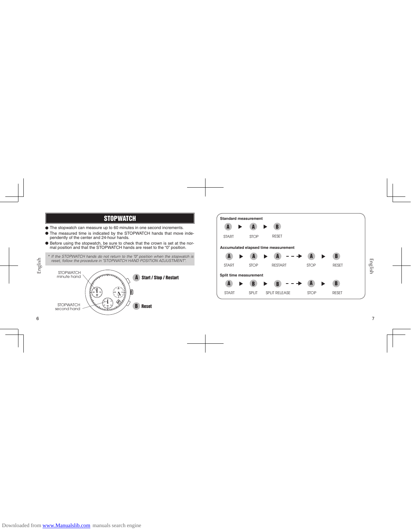# **STOPWATCH**

- $\bullet$  The stopwatch can measure up to 60 minutes in one second increments.
- The measured time is indicated by the STOPWATCH hands that move independently of the center and 24-hour hands.<br>• Before using the stopwatch, be sure to check that the crown is set at the nor-<br>• mal position and that the
- 

*\* If the STOPWATCH hands do not return to the "0" position when the stopwatch is reset, follow the procedure in "STOPWATCH HAND POSITION ADJUSTMENT".*





 $\overline{7}$ 

 $\,6\,$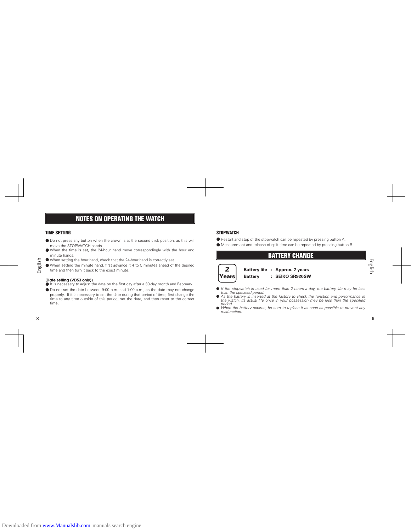# NOTES ON OPERATING THE WATCH

# TIME SETTING

- $\bullet$  Do not press any button when the crown is at the second click position, as this will move the STOPWATCH hands.
- $\bullet$  When the time is set, the 24-hour hand move correspondingly with the hour and minute hands.
- l When setting the hour hand, check that the 24-hour hand is correctly set.
- l When setting the minute hand, first advance it 4 to 5 minutes ahead of the desired time and then turn it back to the exact minute.

(Date setting (VD53 only))<br>● It is necessary to adjust the date on the first day after a 30-day month and February.  $\bullet$  Do not set the date between 9:00 p.m. and 1:00 a.m., as the date may not change properly. If it is necessary to set the date during that period of time, first change the<br>time to any time outside of this period, set the date, and then reset to the correct<br>time. time to any time outside of this period, set the date, and then reset to the correct time.

 $\,8\,$ 

English

# **STOPWATCH**

- $\bullet$  Restart and stop of the stopwatch can be repeated by pressing button A.
- $\bullet$  Measurement and release of split time can be repeated by pressing button B.



**Battery life : Approx. 2 years Battery : SEIKO SR920SW**

BATTERY CHANGE

- 
- If the stopwatch is used for more than 2 hours a day, the battery life may be less<br>than the specified period.<br>As the battery is inserted at the factory to check the function and performance of<br>the watch, its actual life o
- *malfunction.*

9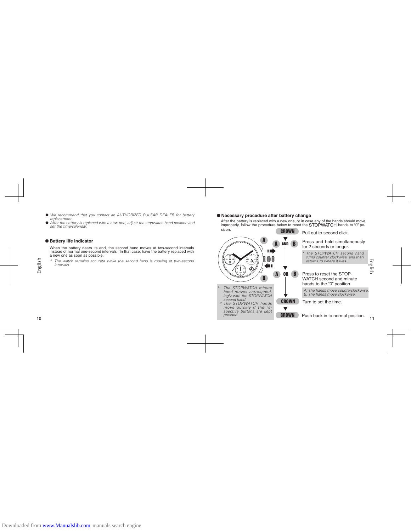- l *We recommend that you contact an AUTHORIZED PULSAR DEALER for battery*
- *replacement.* l *After the battery is replaced with a new one, adjust the stopwatch hand position and set the time/calendar.*

# $\bullet$  **Battery life indicator**

When the battery nears its end, the second hand moves at two-second intervals instead of normal one-second intervals. In that case, have the battery replaced with

instead of normal one-second intervals. In that case, have the battery replaced with a new one as soon as possible.<br>
\* The watch remains accurate while the second hand is moving at two-second intervals. *\* The watch remains accurate while the second hand is moving at two-second intervals.*

l **Necessary procedure after battery change**

**18**

*second hand. \* The STOPWATCH hands move quickly if the re-spective buttons are kept pressed.*

 After the battery is replaced with a new one, or in case any of the hands should move improperly, follow the procedure below to reset the STOPWATCH hands to "0" position.

**CROWN** Pull out to second click.

 $\blacktriangledown$ A Press and hold simultaneously A AND B for 2 seconds or longer. **THE REA** *\* The STOPWATCH second hand turns counter clockwise, and then returns to where it was.* **24** m **6** HOUR. **12**  $\leftarrow$  $\blacktriangledown$ **5** Press to reset the STOP-A B OR B WATCH second and minute hands to the "0" position. *\* The STOPWATCH minute hand moves correspond- ingly with the STOPWATCH* 

**CROWN** Turn to set the time. *A: The hands move counterclockwise. B: The hands move clockwise.*

 $\blacktriangledown$ **CROWN** Push back in to normal position.

s

11

English

10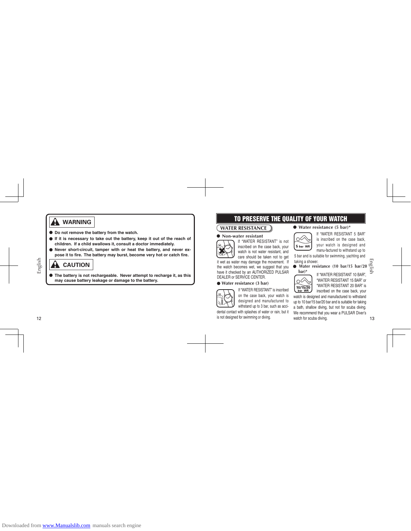# **WARNING**

- l **Do not remove the battery from the watch.**
- $\bullet$  If it is necessary to take out the battery, keep it out of the reach of **children. If a child swallows it, consult a doctor immediately.**
- $\bullet$  Never short-circuit, tamper with or heat the battery, and never ex**pose it to fire. The battery may burst, become very hot or catch fire.**

# **A** CAUTION

l **The battery is not rechargeable. Never attempt to recharge it, as this may cause battery leakage or damage to the battery.**

# $12$ 12

English

# TO PRESERVE THE QUALITY OF YOUR WATCH

# **WATER RESISTANCE**



If "WATER RESISTANT" is not inscribed on the case back, your watch is not water resistant, and  $\frac{1}{2}$  care should be taken not to get<br>it wet as water may damage the movement. If

the watch becomes wet, we suggest that you have it checked by an AUTHORIZED PULSAR DEALER or SERVICE CENTER.

# l **Water resistance (3 bar)**



designed and manufactured to withstand up to 3 bar, such as accidental contact with splashes of water or rain, but it is not designed for swimming or diving. It wet as water may damage the movement. If take<br>the watch becomes wet, we suggest that you<br>have it checked by an AUTHORIZED PULSAR<br>DEALER or SERVICE CENTER.<br>
<br> **• Water resistance (3 bar)**<br>
If "WATER RESISTANT" is inscrib

l **Water resistance (5 bar)\***

If "WATER RESISTANT 5 BAR"  $\circledcirc$ is inscribed on the case back, your watch is designed and 5 bar WR manu-factured to withstand up to

5 bar and is suitable for swimming, yachting and taking a shower.

taking a shower.<br>
• Water resistance (10 bar/15 bar/20  $\frac{\text{cm}}{\text{cm}}$ )<br>
bar)\* If "WATER RESISTANT 10 BAR", **bar)\***

"WATER RESISTANT 15 BAR" or "WATER RESISTANT 20 BAR" is inscribed on the case back, your

watch is designed and manufactured to withstand up to 10 bar/15 bar/20 bar and is suitable for taking a bath, shallow diving, but not for scuba diving.<br>We recommend that you wear a PULSAR Diver's<br>watch for scuba diving.<br>13 We recommend that you wear a PULSAR Diver's watch for scuba diving.

 $\overline{13}$